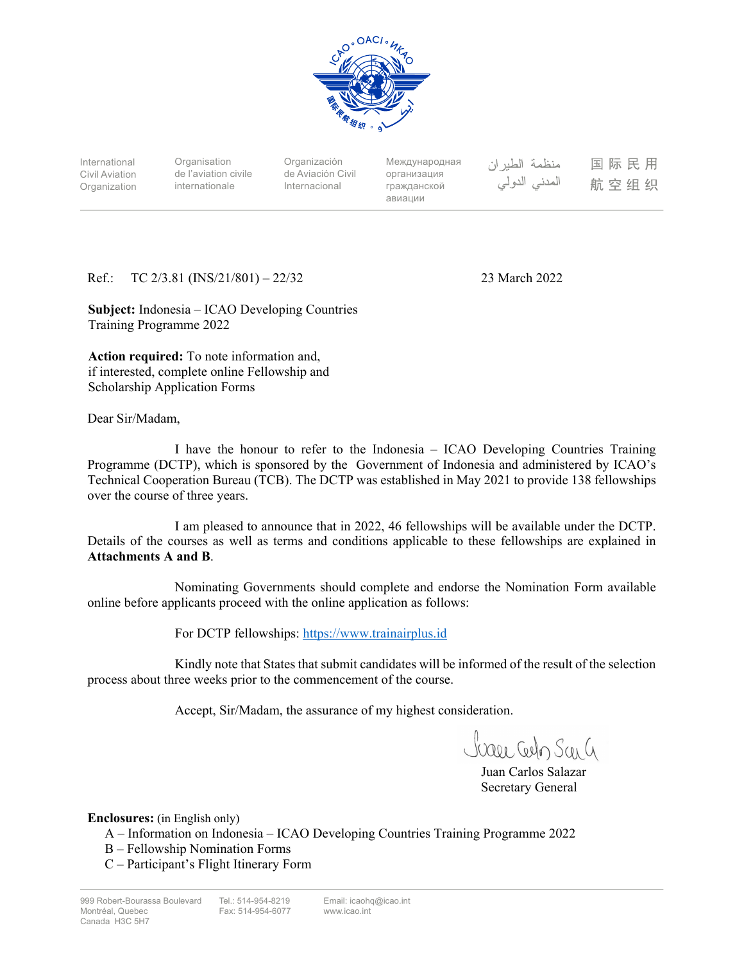

International Civil Aviation Organization

**Organisation** de l'aviation civile internationale

Organización de Aviación Civil Internacional

Международная организация гражданской авиации

منظمة الطيران المدنى الدولي

国际民用 航空组织

Ref.: TC 2/3.81 (INS/21/801) – 22/32 23 March 2022

**Subject:** Indonesia – ICAO Developing Countries Training Programme 2022

**Action required:** To note information and, if interested, complete online Fellowship and Scholarship Application Forms

Dear Sir/Madam,

I have the honour to refer to the Indonesia – ICAO Developing Countries Training Programme (DCTP), which is sponsored by the Government of Indonesia and administered by ICAO's Technical Cooperation Bureau (TCB). The DCTP was established in May 2021 to provide 138 fellowships over the course of three years.

I am pleased to announce that in 2022, 46 fellowships will be available under the DCTP. Details of the courses as well as terms and conditions applicable to these fellowships are explained in **Attachments A and B**.

Nominating Governments should complete and endorse the Nomination Form available online before applicants proceed with the online application as follows:

For DCTP fellowships: https://www.trainairplus.id

Kindly note that States that submit candidates will be informed of the result of the selection process about three weeks prior to the commencement of the course.

Accept, Sir/Madam, the assurance of my highest consideration.

Juare Celo San G

 Juan Carlos Salazar Secretary General

**Enclosures:** (in English only)

- A Information on Indonesia ICAO Developing Countries Training Programme 2022
- B Fellowship Nomination Forms

C – Participant's Flight Itinerary Form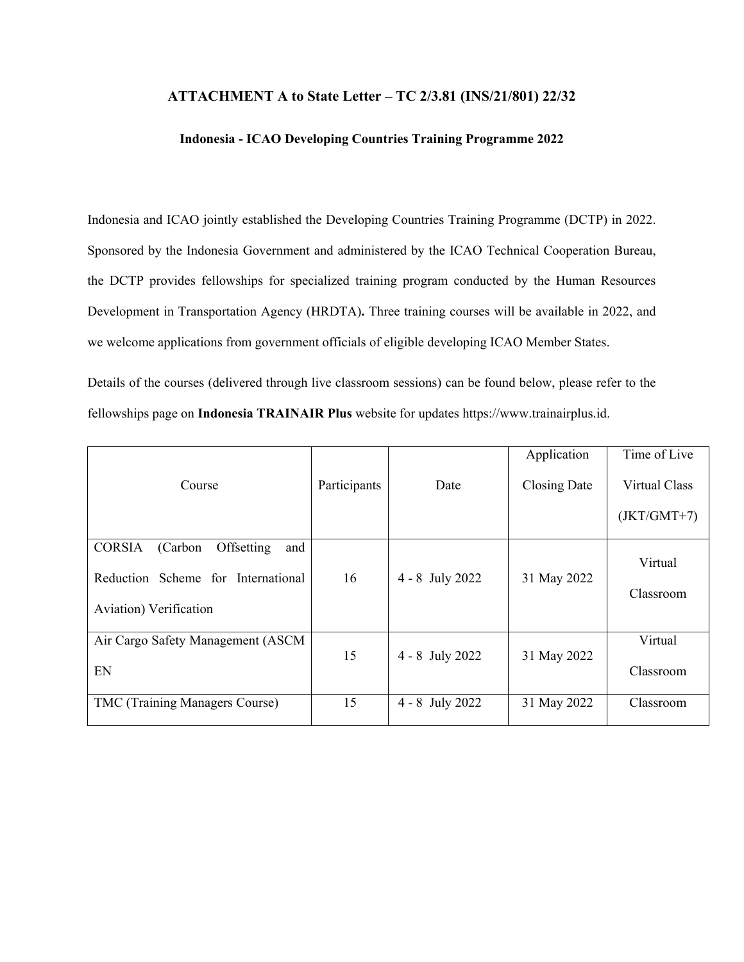#### **ATTACHMENT A to State Letter – TC 2/3.81 (INS/21/801) 22/32**

#### **Indonesia - ICAO Developing Countries Training Programme 2022**

Indonesia and ICAO jointly established the Developing Countries Training Programme (DCTP) in 2022. Sponsored by the Indonesia Government and administered by the ICAO Technical Cooperation Bureau, the DCTP provides fellowships for specialized training program conducted by the Human Resources Development in Transportation Agency (HRDTA)**.** Three training courses will be available in 2022, and we welcome applications from government officials of eligible developing ICAO Member States.

Details of the courses (delivered through live classroom sessions) can be found below, please refer to the fellowships page on **Indonesia TRAINAIR Plus** website for updates https://www.trainairplus.id.

|                                                |              |                   | Application  | Time of Live  |
|------------------------------------------------|--------------|-------------------|--------------|---------------|
| Course                                         | Participants | Date              | Closing Date | Virtual Class |
|                                                |              |                   |              | $(JKT/GMT+7)$ |
| <b>CORSIA</b><br>Offsetting<br>(Carbon)<br>and |              |                   |              | Virtual       |
| Reduction Scheme for International             | 16           | 4 - 8 July 2022   | 31 May 2022  |               |
| Aviation) Verification                         |              |                   |              | Classroom     |
| Air Cargo Safety Management (ASCM              |              |                   |              | Virtual       |
| EN                                             | 15           | $4 - 8$ July 2022 | 31 May 2022  | Classroom     |
| TMC (Training Managers Course)                 | 15           | $4 - 8$ July 2022 | 31 May 2022  | Classroom     |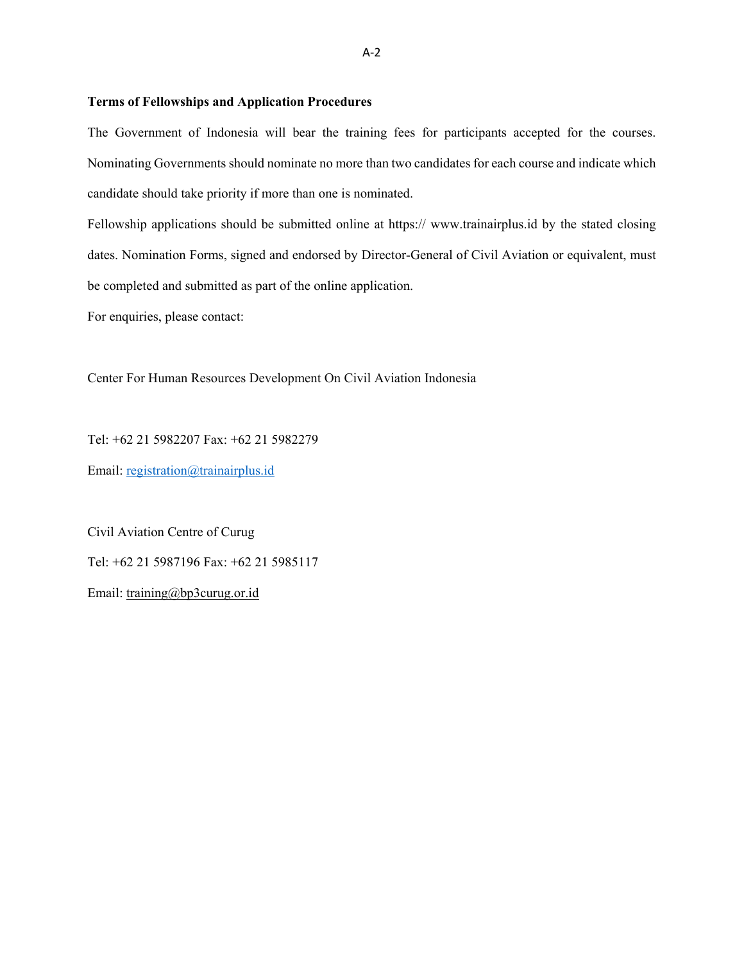#### **Terms of Fellowships and Application Procedures**

The Government of Indonesia will bear the training fees for participants accepted for the courses. Nominating Governments should nominate no more than two candidates for each course and indicate which candidate should take priority if more than one is nominated.

Fellowship applications should be submitted online at https:// www.trainairplus.id by the stated closing dates. Nomination Forms, signed and endorsed by Director-General of Civil Aviation or equivalent, must be completed and submitted as part of the online application.

For enquiries, please contact:

Center For Human Resources Development On Civil Aviation Indonesia

Tel: +62 21 5982207 Fax: +62 21 5982279

Email: registration@trainairplus.id

Civil Aviation Centre of Curug Tel: +62 21 5987196 Fax: +62 21 5985117 Email: training@bp3curug.or.id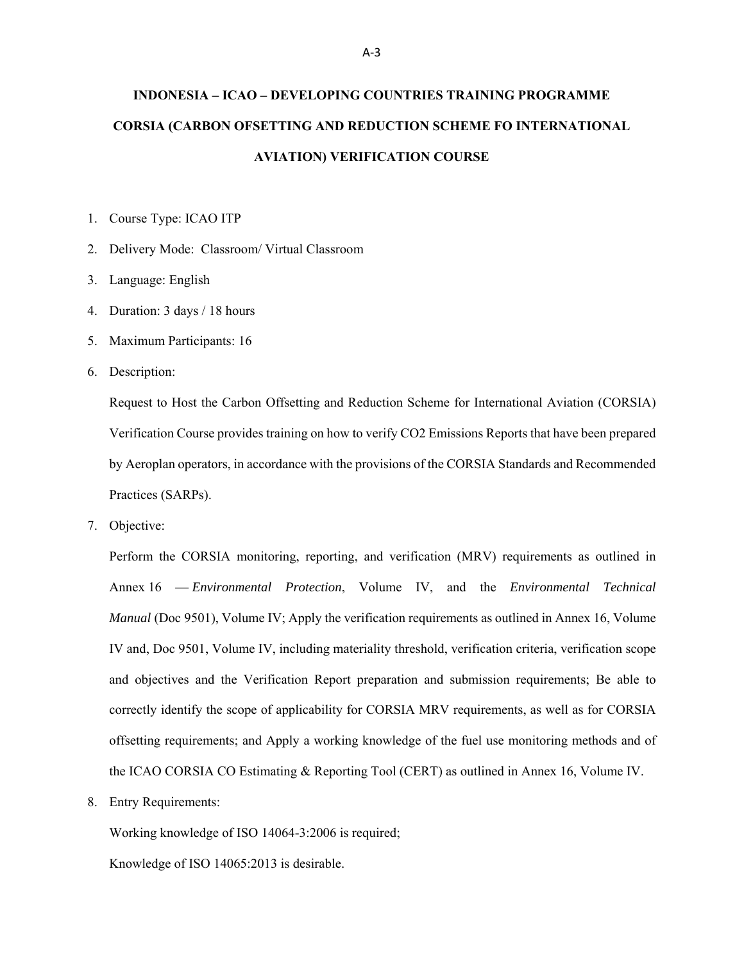# **INDONESIA – ICAO – DEVELOPING COUNTRIES TRAINING PROGRAMME CORSIA (CARBON OFSETTING AND REDUCTION SCHEME FO INTERNATIONAL AVIATION) VERIFICATION COURSE**

1. Course Type: ICAO ITP

- 2. Delivery Mode: Classroom/ Virtual Classroom
- 3. Language: English
- 4. Duration: 3 days / 18 hours
- 5. Maximum Participants: 16
- 6. Description:

Request to Host the Carbon Offsetting and Reduction Scheme for International Aviation (CORSIA) Verification Course provides training on how to verify CO2 Emissions Reports that have been prepared by Aeroplan operators, in accordance with the provisions of the CORSIA Standards and Recommended Practices (SARPs).

7. Objective:

Perform the CORSIA monitoring, reporting, and verification (MRV) requirements as outlined in Annex 16 — *Environmental Protection*, Volume IV, and the *Environmental Technical Manual* (Doc 9501), Volume IV; Apply the verification requirements as outlined in Annex 16, Volume IV and, Doc 9501, Volume IV, including materiality threshold, verification criteria, verification scope and objectives and the Verification Report preparation and submission requirements; Be able to correctly identify the scope of applicability for CORSIA MRV requirements, as well as for CORSIA offsetting requirements; and Apply a working knowledge of the fuel use monitoring methods and of the ICAO CORSIA CO Estimating & Reporting Tool (CERT) as outlined in Annex 16, Volume IV.

8. Entry Requirements:

Working knowledge of ISO 14064-3:2006 is required;

Knowledge of ISO 14065:2013 is desirable.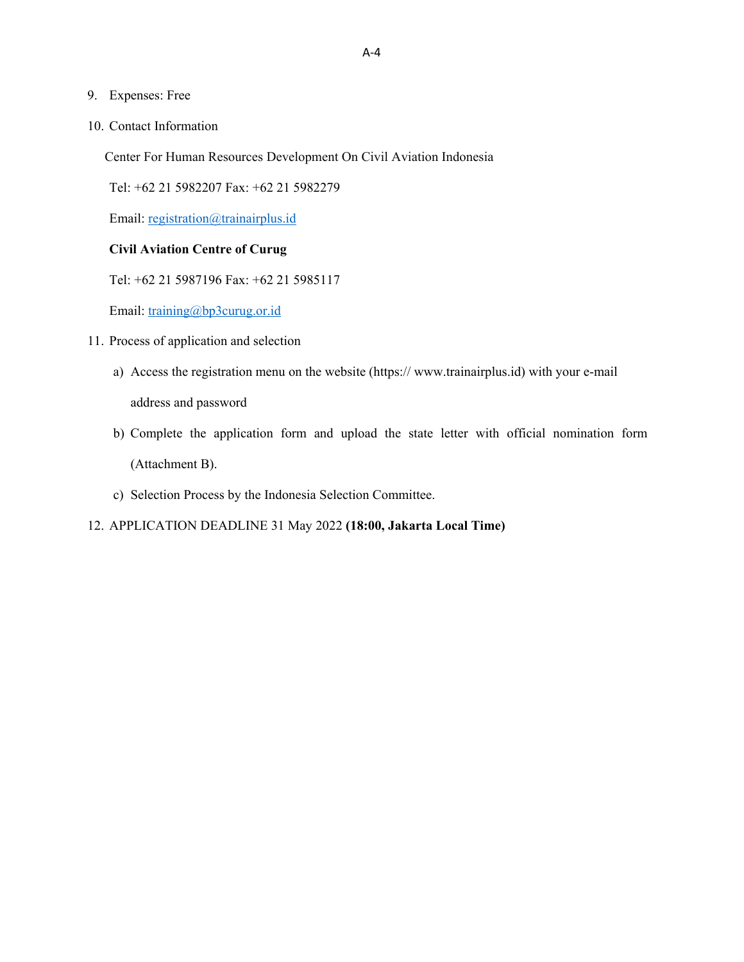#### 9. Expenses: Free

10. Contact Information

Center For Human Resources Development On Civil Aviation Indonesia

Tel: +62 21 5982207 Fax: +62 21 5982279

Email: registration@trainairplus.id

#### **Civil Aviation Centre of Curug**

Tel: +62 21 5987196 Fax: +62 21 5985117

Email: training@bp3curug.or.id

- 11. Process of application and selection
	- a) Access the registration menu on the website (https:// www.trainairplus.id) with your e-mail

address and password

- b) Complete the application form and upload the state letter with official nomination form (Attachment B).
- c) Selection Process by the Indonesia Selection Committee.

#### 12. APPLICATION DEADLINE 31 May 2022 **(18:00, Jakarta Local Time)**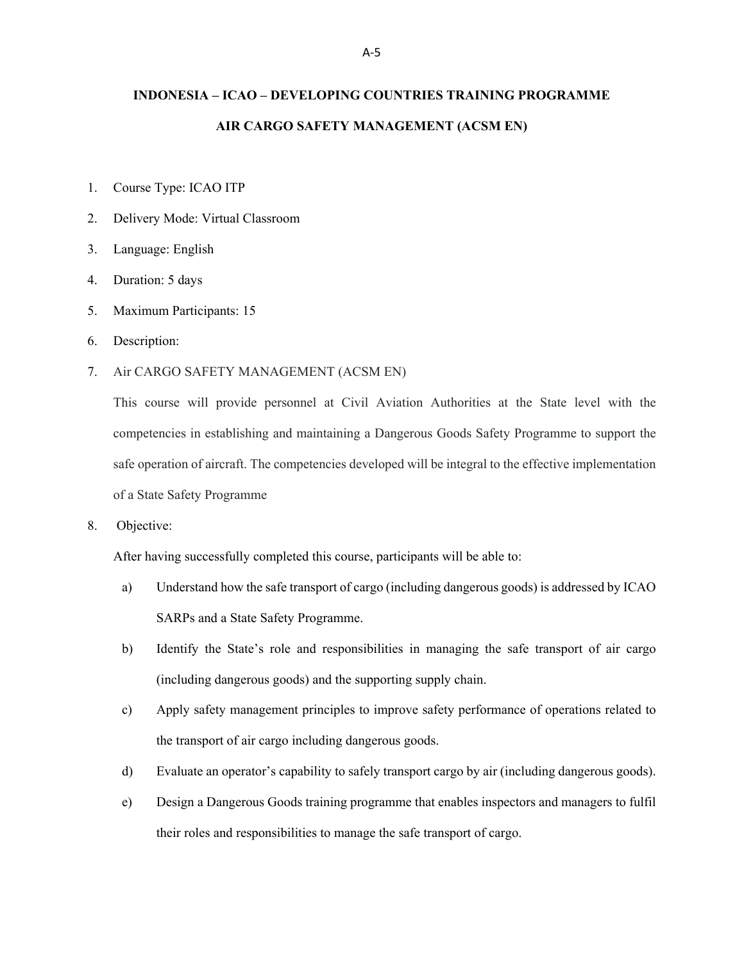## **INDONESIA – ICAO – DEVELOPING COUNTRIES TRAINING PROGRAMME AIR CARGO SAFETY MANAGEMENT (ACSM EN)**

- 1. Course Type: ICAO ITP
- 2. Delivery Mode: Virtual Classroom
- 3. Language: English
- 4. Duration: 5 days
- 5. Maximum Participants: 15
- 6. Description:
- 7. Air CARGO SAFETY MANAGEMENT (ACSM EN)

This course will provide personnel at Civil Aviation Authorities at the State level with the competencies in establishing and maintaining a Dangerous Goods Safety Programme to support the safe operation of aircraft. The competencies developed will be integral to the effective implementation of a State Safety Programme

8. Objective:

After having successfully completed this course, participants will be able to:

- a) Understand how the safe transport of cargo (including dangerous goods) is addressed by ICAO SARPs and a State Safety Programme.
- b) Identify the State's role and responsibilities in managing the safe transport of air cargo (including dangerous goods) and the supporting supply chain.
- c) Apply safety management principles to improve safety performance of operations related to the transport of air cargo including dangerous goods.
- d) Evaluate an operator's capability to safely transport cargo by air (including dangerous goods).
- e) Design a Dangerous Goods training programme that enables inspectors and managers to fulfil their roles and responsibilities to manage the safe transport of cargo.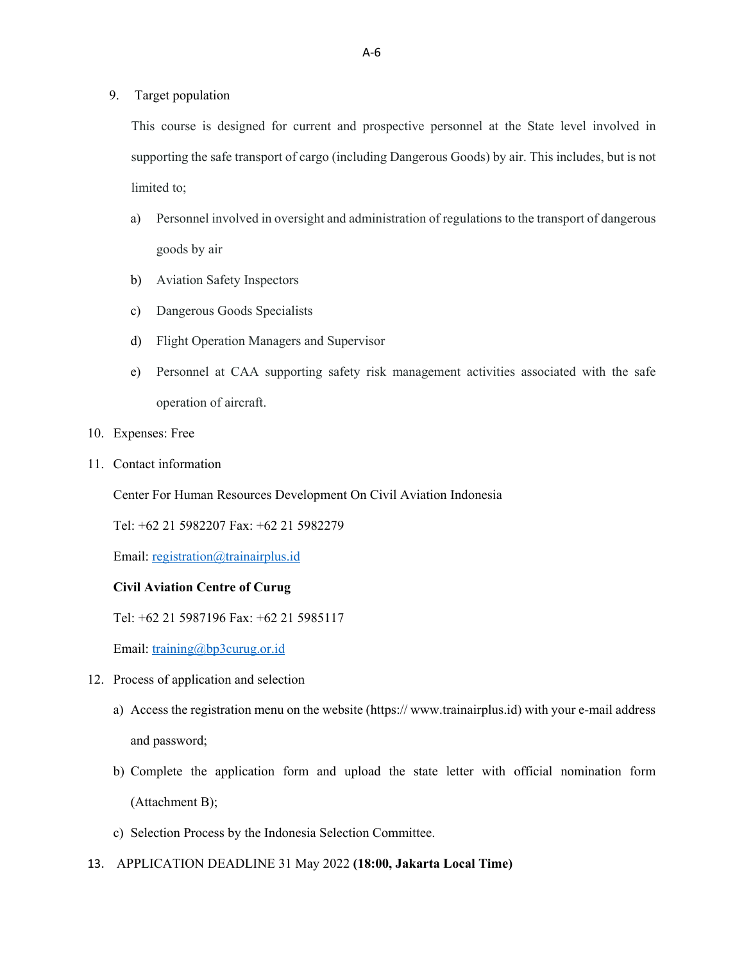9. Target population

This course is designed for current and prospective personnel at the State level involved in supporting the safe transport of cargo (including Dangerous Goods) by air. This includes, but is not limited to;

- a) Personnel involved in oversight and administration of regulations to the transport of dangerous goods by air
- b) Aviation Safety Inspectors
- c) Dangerous Goods Specialists
- d) Flight Operation Managers and Supervisor
- e) Personnel at CAA supporting safety risk management activities associated with the safe operation of aircraft.
- 10. Expenses: Free
- 11. Contact information

Center For Human Resources Development On Civil Aviation Indonesia

Tel: +62 21 5982207 Fax: +62 21 5982279

Email: registration@trainairplus.id

#### **Civil Aviation Centre of Curug**

Tel: +62 21 5987196 Fax: +62 21 5985117

Email: training@bp3curug.or.id

- 12. Process of application and selection
	- a) Access the registration menu on the website (https:// www.trainairplus.id) with your e-mail address and password;
	- b) Complete the application form and upload the state letter with official nomination form (Attachment B);
	- c) Selection Process by the Indonesia Selection Committee.
- 13. APPLICATION DEADLINE 31 May 2022 **(18:00, Jakarta Local Time)**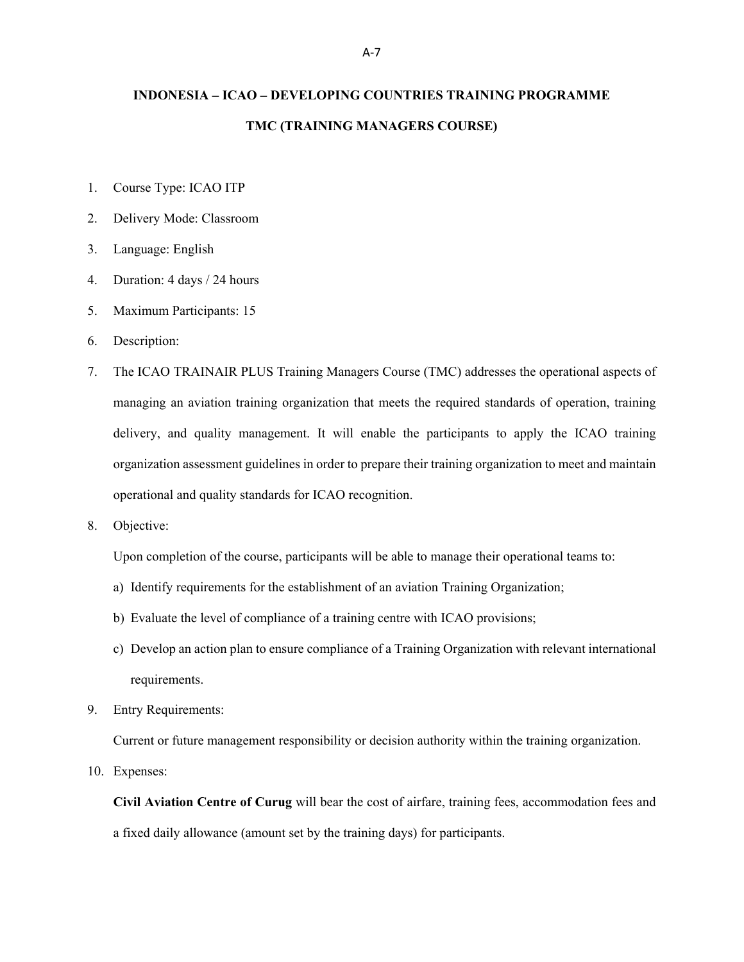## **INDONESIA – ICAO – DEVELOPING COUNTRIES TRAINING PROGRAMME TMC (TRAINING MANAGERS COURSE)**

- 1. Course Type: ICAO ITP
- 2. Delivery Mode: Classroom
- 3. Language: English
- 4. Duration: 4 days / 24 hours
- 5. Maximum Participants: 15
- 6. Description:
- 7. The ICAO TRAINAIR PLUS Training Managers Course (TMC) addresses the operational aspects of managing an aviation training organization that meets the required standards of operation, training delivery, and quality management. It will enable the participants to apply the ICAO training organization assessment guidelines in order to prepare their training organization to meet and maintain operational and quality standards for ICAO recognition.
- 8. Objective:

Upon completion of the course, participants will be able to manage their operational teams to:

- a) Identify requirements for the establishment of an aviation Training Organization;
- b) Evaluate the level of compliance of a training centre with ICAO provisions;
- c) Develop an action plan to ensure compliance of a Training Organization with relevant international requirements.
- 9. Entry Requirements:

Current or future management responsibility or decision authority within the training organization.

10. Expenses:

**Civil Aviation Centre of Curug** will bear the cost of airfare, training fees, accommodation fees and a fixed daily allowance (amount set by the training days) for participants.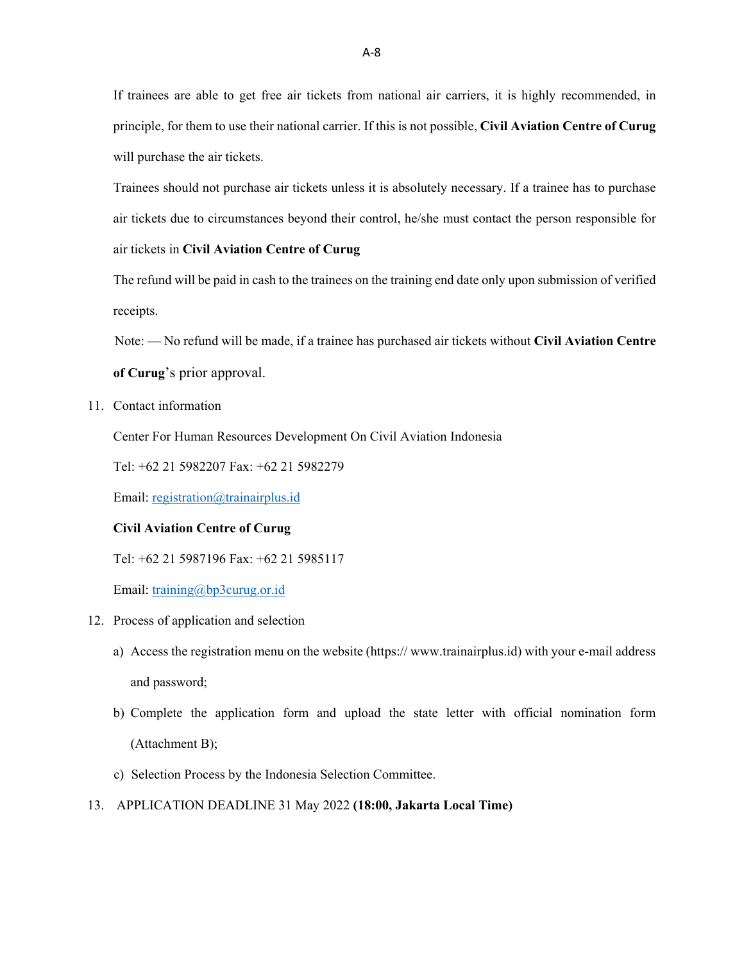If trainees are able to get free air tickets from national air carriers, it is highly recommended, in principle, for them to use their national carrier. If this is not possible, **Civil Aviation Centre of Curug**  will purchase the air tickets.

Trainees should not purchase air tickets unless it is absolutely necessary. If a trainee has to purchase air tickets due to circumstances beyond their control, he/she must contact the person responsible for air tickets in **Civil Aviation Centre of Curug** 

The refund will be paid in cash to the trainees on the training end date only upon submission of verified receipts.

Note: — No refund will be made, if a trainee has purchased air tickets without **Civil Aviation Centre** 

**of Curug**'s prior approval.

11. Contact information

Center For Human Resources Development On Civil Aviation Indonesia

Tel: +62 21 5982207 Fax: +62 21 5982279

Email: registration@trainairplus.id

#### **Civil Aviation Centre of Curug**

Tel: +62 21 5987196 Fax: +62 21 5985117

Email: training@bp3curug.or.id

- 12. Process of application and selection
	- a) Access the registration menu on the website (https:// www.trainairplus.id) with your e-mail address and password;
	- b) Complete the application form and upload the state letter with official nomination form (Attachment B);
	- c) Selection Process by the Indonesia Selection Committee.
- 13. APPLICATION DEADLINE 31 May 2022 **(18:00, Jakarta Local Time)**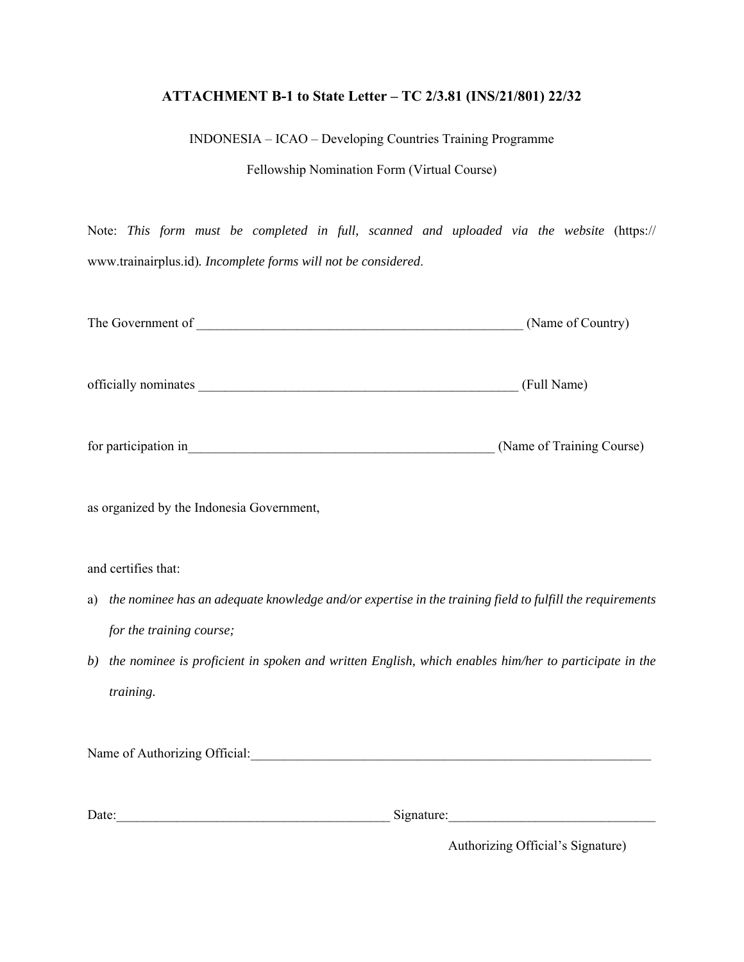## **ATTACHMENT B-1 to State Letter – TC 2/3.81 (INS/21/801) 22/32**

INDONESIA – ICAO – Developing Countries Training Programme

Fellowship Nomination Form (Virtual Course)

Note: *This form must be completed in full, scanned and uploaded via the website* (https:// www.trainairplus.id)*. Incomplete forms will not be considered*.

|                                                                                                                                                                                                                                | (Name of Country)         |
|--------------------------------------------------------------------------------------------------------------------------------------------------------------------------------------------------------------------------------|---------------------------|
|                                                                                                                                                                                                                                | (Full Name)               |
| for participation in the contract of the contract of the contract of the contract of the contract of the contract of the contract of the contract of the contract of the contract of the contract of the contract of the contr | (Name of Training Course) |
| as organized by the Indonesia Government,                                                                                                                                                                                      |                           |
| and certifies that:                                                                                                                                                                                                            |                           |
| the nominee has an adequate knowledge and/or expertise in the training field to fulfill the requirements<br>a)                                                                                                                 |                           |
| for the training course;                                                                                                                                                                                                       |                           |
| the nominee is proficient in spoken and written English, which enables him/her to participate in the<br>b)                                                                                                                     |                           |
| training.                                                                                                                                                                                                                      |                           |
| Name of Authorizing Official: Cambridge Contract Contract Contract Contract Contract Contract Contract Contract Contract Contract Contract Contract Contract Contract Contract Contract Contract Contract Contract Contract Co |                           |
| Date:<br><u> 1989 - Johann John Stone, mensk politik en oantal fan it ferstjer oantal fan de oarskeiden fan de oarskeiden</u>                                                                                                  | Signature:                |

Authorizing Official's Signature)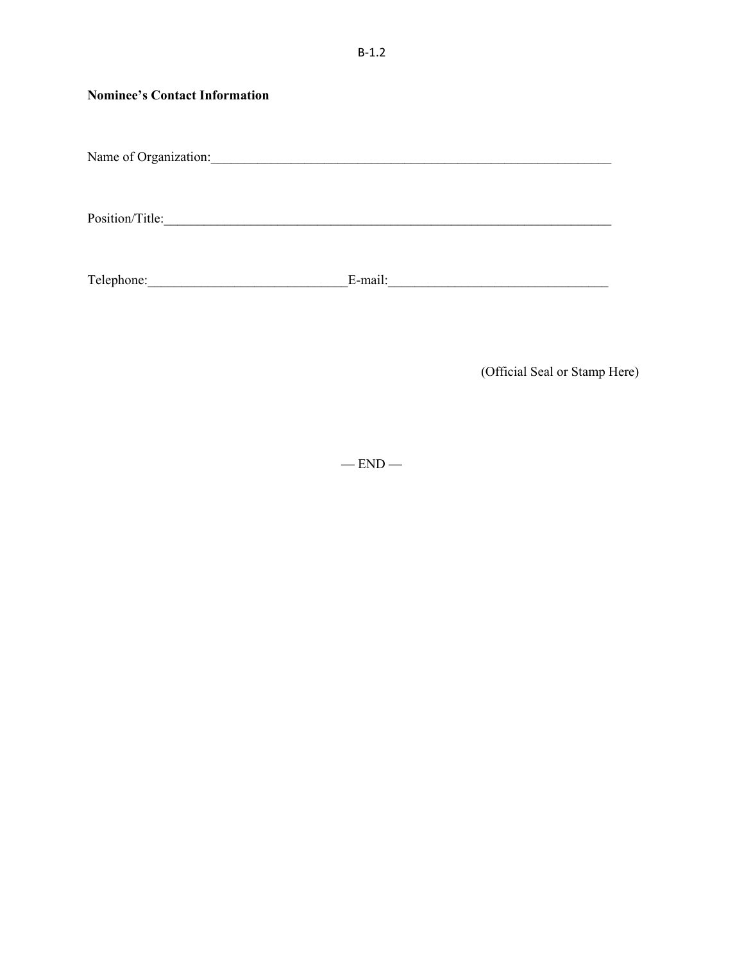| <b>Nominee's Contact Information</b> |         |
|--------------------------------------|---------|
| Name of Organization:                |         |
| Position/Title:                      |         |
| Telephone:                           | E-mail: |

(Official Seal or Stamp Here)

 $-$  END  $-$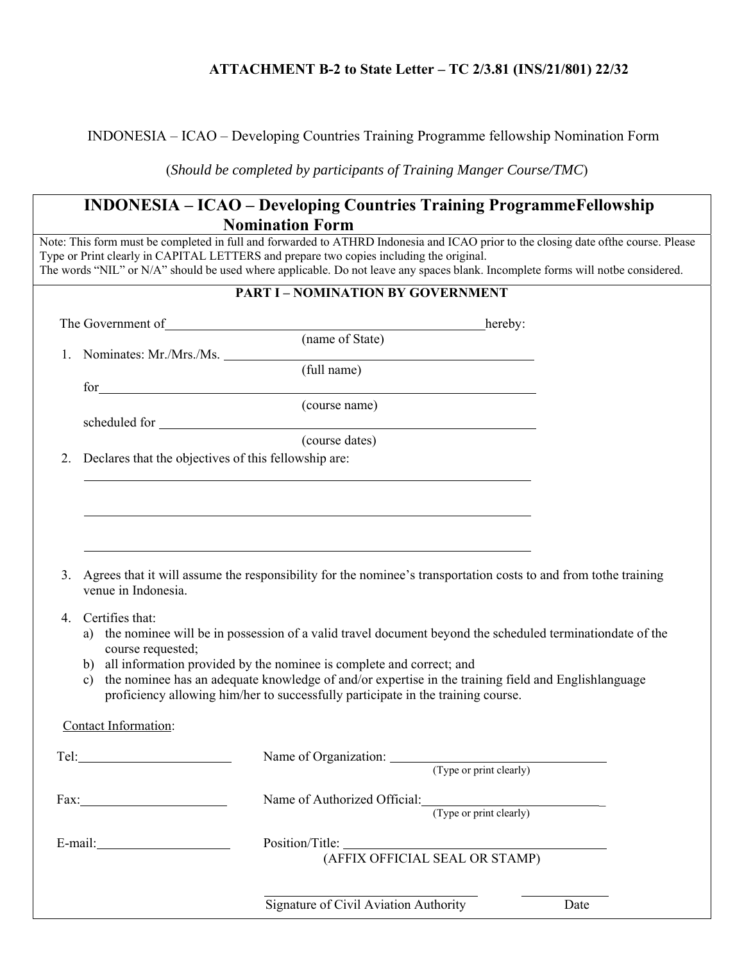## **ATTACHMENT B-2 to State Letter – TC 2/3.81 (INS/21/801) 22/32**

### INDONESIA – ICAO – Developing Countries Training Programme fellowship Nomination Form

(*Should be completed by participants of Training Manger Course/TMC*)

## **INDONESIA – ICAO – Developing Countries Training Programme Fellowship Nomination Form**

Note: This form must be completed in full and forwarded to ATHRD Indonesia and ICAO prior to the closing date of the course. Please Type or Print clearly in CAPITAL LETTERS and prepare two copies including the original. The words "NIL" or N/A" should be used where applicable. Do not leave any spaces blank. Incomplete forms will notbe considered.

|                                                                                                                                                                                                                                | <b>PART I - NOMINATION BY GOVERNMENT</b>                                                                                                                                                                                                                                                                                                                                          |      |
|--------------------------------------------------------------------------------------------------------------------------------------------------------------------------------------------------------------------------------|-----------------------------------------------------------------------------------------------------------------------------------------------------------------------------------------------------------------------------------------------------------------------------------------------------------------------------------------------------------------------------------|------|
|                                                                                                                                                                                                                                | The Government of <u>hereby:</u><br>(name of State) hereby:                                                                                                                                                                                                                                                                                                                       |      |
|                                                                                                                                                                                                                                |                                                                                                                                                                                                                                                                                                                                                                                   |      |
| Nominates: Mr./Mrs./Ms.<br>1.                                                                                                                                                                                                  | (full name)                                                                                                                                                                                                                                                                                                                                                                       |      |
|                                                                                                                                                                                                                                | for (course name)                                                                                                                                                                                                                                                                                                                                                                 |      |
|                                                                                                                                                                                                                                |                                                                                                                                                                                                                                                                                                                                                                                   |      |
|                                                                                                                                                                                                                                | (course dates)                                                                                                                                                                                                                                                                                                                                                                    |      |
| 2.<br>Declares that the objectives of this fellowship are:                                                                                                                                                                     |                                                                                                                                                                                                                                                                                                                                                                                   |      |
|                                                                                                                                                                                                                                |                                                                                                                                                                                                                                                                                                                                                                                   |      |
|                                                                                                                                                                                                                                |                                                                                                                                                                                                                                                                                                                                                                                   |      |
|                                                                                                                                                                                                                                |                                                                                                                                                                                                                                                                                                                                                                                   |      |
|                                                                                                                                                                                                                                |                                                                                                                                                                                                                                                                                                                                                                                   |      |
| Certifies that:<br>4.<br>course requested;<br>$\mathbf{c})$                                                                                                                                                                    | a) the nominee will be in possession of a valid travel document beyond the scheduled terminationdate of the<br>b) all information provided by the nominee is complete and correct; and<br>the nominee has an adequate knowledge of and/or expertise in the training field and Englishlanguage<br>proficiency allowing him/her to successfully participate in the training course. |      |
| Contact Information:                                                                                                                                                                                                           |                                                                                                                                                                                                                                                                                                                                                                                   |      |
| Tel: The Commission of the Commission of the Commission of the Commission of the Commission of the Commission of the Commission of the Commission of the Commission of the Commission of the Commission of the Commission of t | Name of Organization: (Type or print clearly)                                                                                                                                                                                                                                                                                                                                     |      |
|                                                                                                                                                                                                                                |                                                                                                                                                                                                                                                                                                                                                                                   |      |
|                                                                                                                                                                                                                                | Name of Authorized Official: (Type or print clearly)                                                                                                                                                                                                                                                                                                                              |      |
|                                                                                                                                                                                                                                |                                                                                                                                                                                                                                                                                                                                                                                   |      |
| $E$ -mail:                                                                                                                                                                                                                     |                                                                                                                                                                                                                                                                                                                                                                                   |      |
|                                                                                                                                                                                                                                | (AFFIX OFFICIAL SEAL OR STAMP)                                                                                                                                                                                                                                                                                                                                                    |      |
|                                                                                                                                                                                                                                |                                                                                                                                                                                                                                                                                                                                                                                   |      |
|                                                                                                                                                                                                                                | Signature of Civil Aviation Authority                                                                                                                                                                                                                                                                                                                                             | Date |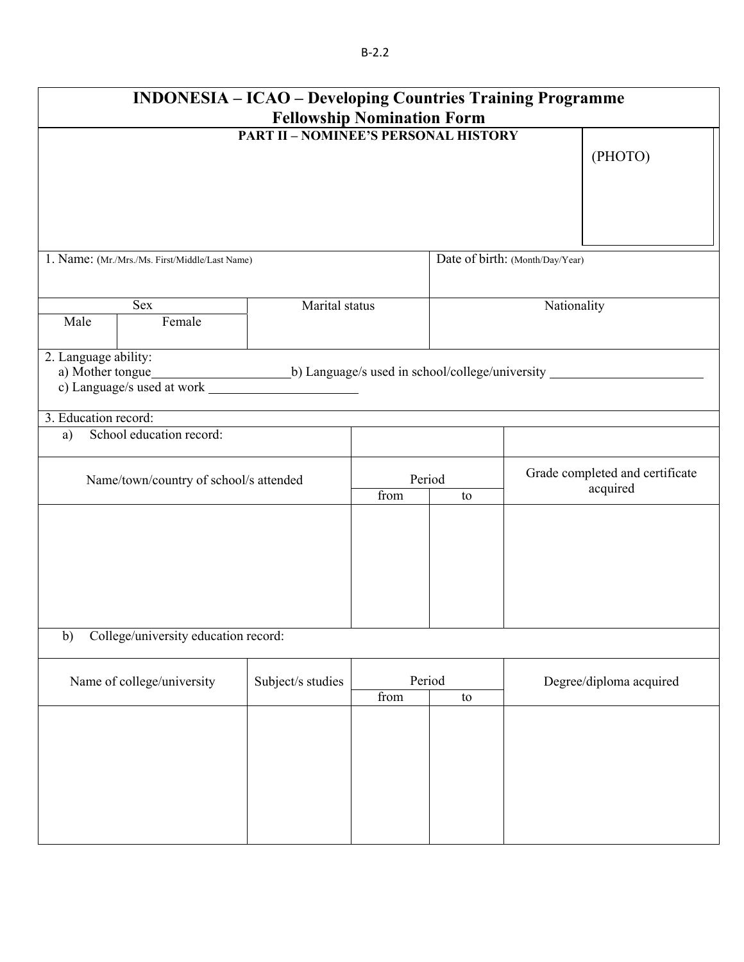|                            | <b>INDONESIA – ICAO – Developing Countries Training Programme</b> | <b>Fellowship Nomination Form</b>           |                |    |                                 |                                             |  |
|----------------------------|-------------------------------------------------------------------|---------------------------------------------|----------------|----|---------------------------------|---------------------------------------------|--|
|                            |                                                                   | <b>PART II - NOMINEE'S PERSONAL HISTORY</b> |                |    |                                 | (PHOTO)                                     |  |
|                            | 1. Name: (Mr./Mrs./Ms. First/Middle/Last Name)                    |                                             |                |    | Date of birth: (Month/Day/Year) |                                             |  |
| Male                       | Sex<br>Female                                                     | Marital status                              |                |    | Nationality                     |                                             |  |
| 2. Language ability:       |                                                                   |                                             |                |    |                                 |                                             |  |
| 3. Education record:<br>a) | School education record:                                          |                                             |                |    |                                 |                                             |  |
|                            | Name/town/country of school/s attended                            |                                             | Period<br>from | to |                                 | Grade completed and certificate<br>acquired |  |
|                            |                                                                   |                                             |                |    |                                 |                                             |  |
| b)                         | College/university education record:                              |                                             |                |    |                                 |                                             |  |
|                            | Name of college/university                                        | Period<br>Subject/s studies<br>from<br>to   |                |    | Degree/diploma acquired         |                                             |  |
|                            |                                                                   |                                             |                |    |                                 |                                             |  |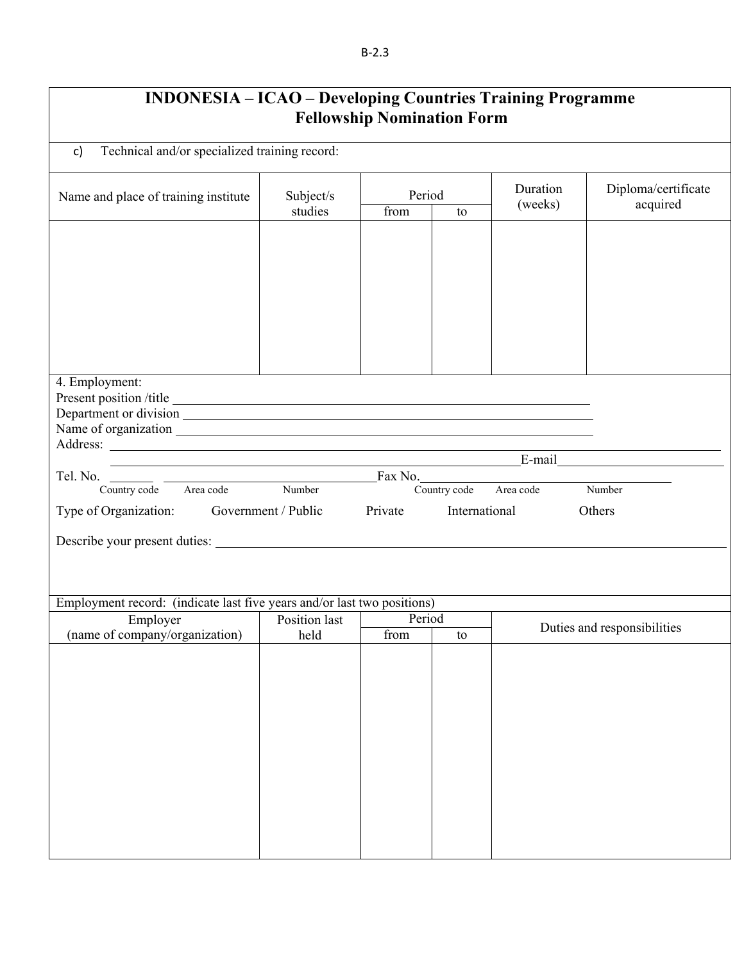#### B‐2.3

| <b>INDONESIA – ICAO – Developing Countries Training Programme</b> |
|-------------------------------------------------------------------|
| <b>Fellowship Nomination Form</b>                                 |

| Technical and/or specialized training record:<br>c)                          |                                                                                                                       |                          |               |                     |                                 |  |  |
|------------------------------------------------------------------------------|-----------------------------------------------------------------------------------------------------------------------|--------------------------|---------------|---------------------|---------------------------------|--|--|
| Name and place of training institute                                         | Subject/s<br>studies                                                                                                  | Period<br>from<br>to     |               | Duration<br>(weeks) | Diploma/certificate<br>acquired |  |  |
|                                                                              |                                                                                                                       |                          |               |                     |                                 |  |  |
|                                                                              |                                                                                                                       |                          |               |                     |                                 |  |  |
|                                                                              |                                                                                                                       |                          |               |                     |                                 |  |  |
|                                                                              |                                                                                                                       |                          |               |                     |                                 |  |  |
|                                                                              |                                                                                                                       |                          |               |                     |                                 |  |  |
| 4. Employment:                                                               |                                                                                                                       |                          |               |                     |                                 |  |  |
|                                                                              |                                                                                                                       |                          |               |                     |                                 |  |  |
|                                                                              |                                                                                                                       |                          |               | $E$ -mail           |                                 |  |  |
| Tel. No. Country code Area code Number Fax No. Country code Area code Number | <u> 1989 - Johann Stoff, deutscher Stoff, der Stoff, der Stoff, der Stoff, der Stoff, der Stoff, der Stoff, der S</u> |                          |               |                     |                                 |  |  |
| Type of Organization: Government / Public                                    |                                                                                                                       | Private                  | International |                     | Others                          |  |  |
|                                                                              |                                                                                                                       |                          |               |                     |                                 |  |  |
|                                                                              |                                                                                                                       |                          |               |                     |                                 |  |  |
| Employment record: (indicate last five years and/or last two positions)      |                                                                                                                       |                          |               |                     |                                 |  |  |
| Employer                                                                     | Position last                                                                                                         | Period                   |               |                     | Duties and responsibilities     |  |  |
| (name of company/organization)                                               | held                                                                                                                  | $\overline{\text{from}}$ | to            |                     |                                 |  |  |
|                                                                              |                                                                                                                       |                          |               |                     |                                 |  |  |
|                                                                              |                                                                                                                       |                          |               |                     |                                 |  |  |
|                                                                              |                                                                                                                       |                          |               |                     |                                 |  |  |
|                                                                              |                                                                                                                       |                          |               |                     |                                 |  |  |
|                                                                              |                                                                                                                       |                          |               |                     |                                 |  |  |
|                                                                              |                                                                                                                       |                          |               |                     |                                 |  |  |
|                                                                              |                                                                                                                       |                          |               |                     |                                 |  |  |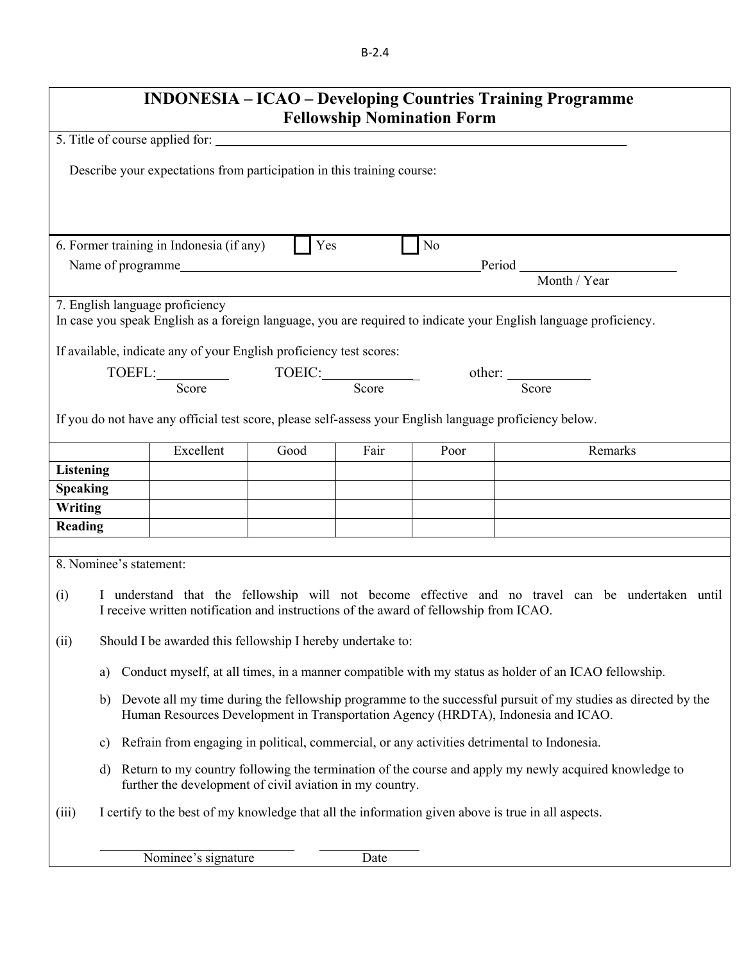B‐2.4

| <b>INDONESIA – ICAO – Developing Countries Training Programme</b><br><b>Fellowship Nomination Form</b>                                                                                                   |                                                                                                    |                                                                                       |      |      |      |                                                                                                                  |  |
|----------------------------------------------------------------------------------------------------------------------------------------------------------------------------------------------------------|----------------------------------------------------------------------------------------------------|---------------------------------------------------------------------------------------|------|------|------|------------------------------------------------------------------------------------------------------------------|--|
|                                                                                                                                                                                                          |                                                                                                    |                                                                                       |      |      |      |                                                                                                                  |  |
|                                                                                                                                                                                                          |                                                                                                    |                                                                                       |      |      |      |                                                                                                                  |  |
|                                                                                                                                                                                                          | Describe your expectations from participation in this training course:                             |                                                                                       |      |      |      |                                                                                                                  |  |
|                                                                                                                                                                                                          |                                                                                                    |                                                                                       |      |      |      |                                                                                                                  |  |
|                                                                                                                                                                                                          |                                                                                                    | 6. Former training in Indonesia (if any)                                              | Yes  |      | No   |                                                                                                                  |  |
|                                                                                                                                                                                                          |                                                                                                    | Name of programme                                                                     |      |      |      | $Period Month / Year$                                                                                            |  |
|                                                                                                                                                                                                          |                                                                                                    |                                                                                       |      |      |      |                                                                                                                  |  |
|                                                                                                                                                                                                          |                                                                                                    | 7. English language proficiency                                                       |      |      |      | In case you speak English as a foreign language, you are required to indicate your English language proficiency. |  |
|                                                                                                                                                                                                          |                                                                                                    | If available, indicate any of your English proficiency test scores:                   |      |      |      |                                                                                                                  |  |
|                                                                                                                                                                                                          |                                                                                                    | TOEFL: Score TOEIC: Score Score                                                       |      |      |      |                                                                                                                  |  |
|                                                                                                                                                                                                          |                                                                                                    |                                                                                       |      |      |      | Score                                                                                                            |  |
|                                                                                                                                                                                                          |                                                                                                    |                                                                                       |      |      |      | If you do not have any official test score, please self-assess your English language proficiency below.          |  |
|                                                                                                                                                                                                          |                                                                                                    | Excellent                                                                             | Good | Fair | Poor | Remarks                                                                                                          |  |
| <b>Listening</b>                                                                                                                                                                                         |                                                                                                    |                                                                                       |      |      |      |                                                                                                                  |  |
| <b>Speaking</b>                                                                                                                                                                                          |                                                                                                    |                                                                                       |      |      |      |                                                                                                                  |  |
| Writing                                                                                                                                                                                                  |                                                                                                    |                                                                                       |      |      |      |                                                                                                                  |  |
| Reading                                                                                                                                                                                                  |                                                                                                    |                                                                                       |      |      |      |                                                                                                                  |  |
|                                                                                                                                                                                                          |                                                                                                    |                                                                                       |      |      |      |                                                                                                                  |  |
| 8. Nominee's statement:                                                                                                                                                                                  |                                                                                                    |                                                                                       |      |      |      |                                                                                                                  |  |
| (i)                                                                                                                                                                                                      |                                                                                                    | I receive written notification and instructions of the award of fellowship from ICAO. |      |      |      | I understand that the fellowship will not become effective and no travel can be undertaken until                 |  |
| (ii)                                                                                                                                                                                                     |                                                                                                    | Should I be awarded this fellowship I hereby undertake to:                            |      |      |      |                                                                                                                  |  |
| a)                                                                                                                                                                                                       |                                                                                                    |                                                                                       |      |      |      | Conduct myself, at all times, in a manner compatible with my status as holder of an ICAO fellowship.             |  |
| Devote all my time during the fellowship programme to the successful pursuit of my studies as directed by the<br>b)<br>Human Resources Development in Transportation Agency (HRDTA), Indonesia and ICAO. |                                                                                                    |                                                                                       |      |      |      |                                                                                                                  |  |
| Refrain from engaging in political, commercial, or any activities detrimental to Indonesia.<br>$\mathbf{c})$                                                                                             |                                                                                                    |                                                                                       |      |      |      |                                                                                                                  |  |
| Return to my country following the termination of the course and apply my newly acquired knowledge to<br>d)<br>further the development of civil aviation in my country.                                  |                                                                                                    |                                                                                       |      |      |      |                                                                                                                  |  |
| (iii)                                                                                                                                                                                                    | I certify to the best of my knowledge that all the information given above is true in all aspects. |                                                                                       |      |      |      |                                                                                                                  |  |
|                                                                                                                                                                                                          |                                                                                                    |                                                                                       |      |      |      |                                                                                                                  |  |
|                                                                                                                                                                                                          |                                                                                                    | Nominee's signature                                                                   |      | Date |      |                                                                                                                  |  |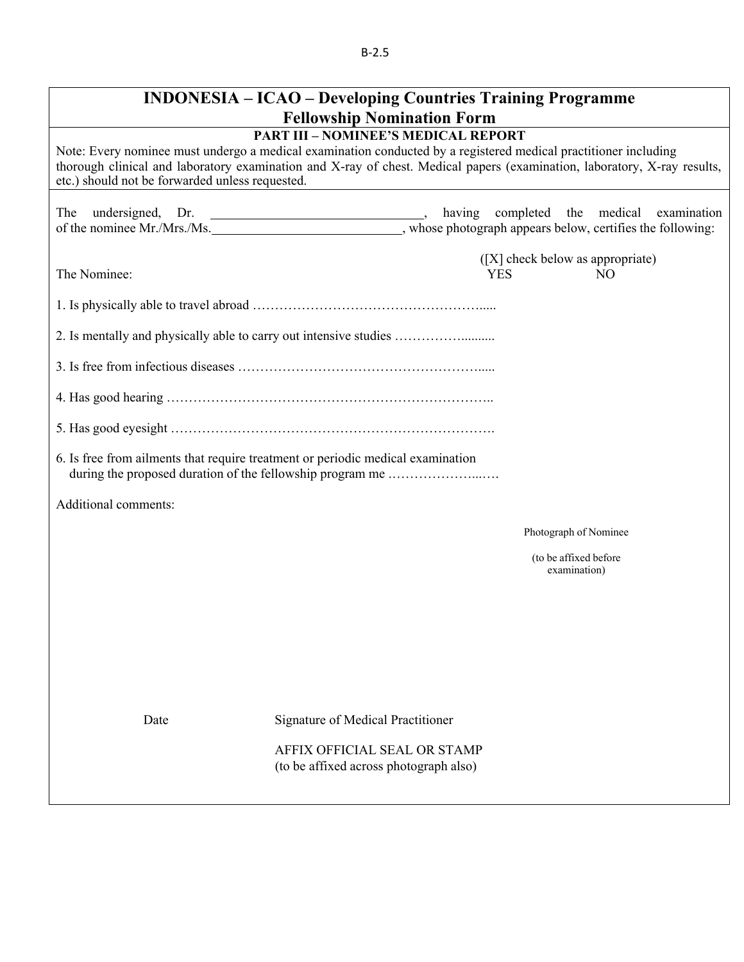|                                                 | <b>INDONESIA – ICAO – Developing Countries Training Programme</b><br><b>Fellowship Nomination Form</b>                                                                                                                                                                                    |
|-------------------------------------------------|-------------------------------------------------------------------------------------------------------------------------------------------------------------------------------------------------------------------------------------------------------------------------------------------|
| etc.) should not be forwarded unless requested. | <b>PART III - NOMINEE'S MEDICAL REPORT</b><br>Note: Every nominee must undergo a medical examination conducted by a registered medical practitioner including<br>thorough clinical and laboratory examination and X-ray of chest. Medical papers (examination, laboratory, X-ray results, |
| undersigned, Dr.<br>The                         | having completed the medical examination<br>of the nominee Mr./Mrs./Ms. ________________________________, whose photograph appears below, certifies the following:                                                                                                                        |
| The Nominee:                                    | ([X] check below as appropriate)<br>N <sub>O</sub><br><b>YES</b>                                                                                                                                                                                                                          |
|                                                 |                                                                                                                                                                                                                                                                                           |
|                                                 |                                                                                                                                                                                                                                                                                           |
|                                                 |                                                                                                                                                                                                                                                                                           |
|                                                 |                                                                                                                                                                                                                                                                                           |
|                                                 |                                                                                                                                                                                                                                                                                           |
|                                                 | 6. Is free from ailments that require treatment or periodic medical examination                                                                                                                                                                                                           |
| Additional comments:                            |                                                                                                                                                                                                                                                                                           |
|                                                 | Photograph of Nominee                                                                                                                                                                                                                                                                     |
|                                                 | (to be affixed before<br>examination)                                                                                                                                                                                                                                                     |
|                                                 |                                                                                                                                                                                                                                                                                           |
|                                                 |                                                                                                                                                                                                                                                                                           |
|                                                 |                                                                                                                                                                                                                                                                                           |
| Date                                            | Signature of Medical Practitioner                                                                                                                                                                                                                                                         |
|                                                 | AFFIX OFFICIAL SEAL OR STAMP<br>(to be affixed across photograph also)                                                                                                                                                                                                                    |